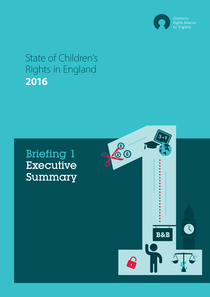

## State of Children's Rights in England **2016**

# Briefing 1 Executive Summary

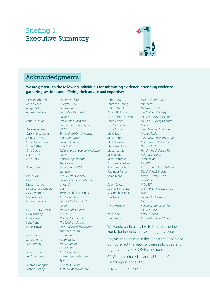## Briefing 1 Executive Summary



## Acknowledgments

**We are grateful to the following individuals for submitting evidence, attending evidence gathering sessions and offering their advice and expertise:**

Yasmine Ahmed *Rights Watch UK*  Adrian Voce *Policy for Play* Abigal Gill *Centrepoint*

Caroline Adams *NPCC* Chloe Cockett *Who Cares Trust?* Chloe Darlington *Children England* Chloe Setter *ECPAT UK* Clare Evans *Cafcass*

Dragan Nastic *Unicef UK* Debaleena Dasgupta *Liberty* Florence Cole *Just for Kids Law* 

Holly Bentley *NSPCC*

Jane Evans *Barnardo's* James Kenrick *Youth Access*

Jerome Finnegan *Save the Children* Joanne Bartley *Kent Education Network*

Andrew Fellowes *Council for Disabled Children* Carla Garnelas *Office of the Children's Commissioner for England*  Carolyn Blackburn *Birmingham City University* Chris Dodd *Children are Unbeatable! Alliance* Chris Bath *National Appropriate Adult Network* Gareth Jones *Association of YOT Managers* David Ayre *The Children's Society*  David Gee *Child Soldiers International*  Gus Silverman Irwin Mitchell Solicitors Frances Trevana *Coram Children's Legal Centre* Francesca Danmole *British Youth Council* Ilona Pinter *The Children's Society*  Iryna Pona *The Children's Society* Isobel Howe *Royal College of Paediatrics and Child Health* Jay Harman *British Humanist Association* Jennifer Twite *Just for Kids Law*  Jen Chambers *Howard League For Penal Reform* 

John Drew *Prison Reform Trust* Jonathan Rallings *Barnardo's* Judith Dennis *Refugee Council* Lisa McCrindle *NSPCC* Marc Bush *Young Mind*s Matthew Blow *Young Minds*  Mike Brady *Baby Milk Action* Mital Raithatha *Just for Kids Law* Pippa Goodfellow *NACRO*

Selen Cavcav *INQUEST* Susannah Sconce *NSPCC*

Zoe Renton *National Children's Bureau*

Kadra Abdinasir *The Children's Society* Kate Aubrey-Jonson *Youth Justice Legal Centre* Laura Cooper *Youth Justice Legal Centre* Lucie Boase Irwin Mitchell Solicitors Marc Francis *Zacchaeus 2000 Trust (Z2K)* Mark Spencer *Child Poverty Action Group*  Megan Jarvie *Family and Childcare Trust* Raymond Arthur *Northumbria School of Law* Rupinder Parhar *The Children's Society*  Sarah Mann *Friends, Families and Travellers* Sophie Earnshaw *Child Poverty Action Group*  Tara Flood *Alliance for Inclusive Education*  Tessa Murphy *Standing Committee for Youth Justice*  Zara Todd *Sisters of Frida* 

We would particularly like to thank Catherine Franks for her help in researching this report.

Any views expressed in this report are CRAE's and do not reflect the views of these individuals and organisations, or of CRAE's members.

CRAE has produced an annual State of Children's Rights report since 2003

ISBN: 978-1-898961-44-4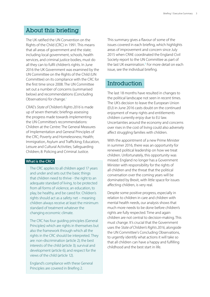## About this briefing

The UK ratified the UN Convention on the Rights of the Child (CRC) in 1991. This means that all areas of government and the state; including local government, schools, health services, and criminal justice bodies, must do all they can to fulfil children's rights. In June 2016 the UK Government was examined by the UN Committee on the Rights of the Child (UN Committee) on its compliance with the CRC for the first time since 2008. The UN Committee set out a number of concerns (summarised below) and recommendations (Concluding Observations) for change.<sup>1</sup>

CRAE's *State of Children's Rights 2016* is made up of seven thematic briefings assessing the progress made towards implementing the UN Committee's recommendations: Children at the Centre: The General Measures of Implementation and General Principles of the CRC; Poverty and Homelessness; Health; Immigration, Asylum and Trafficking; Education, Leisure and Cultural Activities; Safeguarding Children; 8: Policing and Criminal Justice.

#### **What is the CRC?**

The CRC applies to all children aged 17 years and under and sets out the basic things that children need to thrive - the right to an adequate standard of living, to be protected from all forms of violence, an education, to play, be healthy, and be cared for. Children's rights should act as a safety net – meaning children always receive at least the minimum standard of treatment whatever the changing economic climate.

The CRC has four guiding principles (General Principles) which are rights in themselves but also the framework through which all the rights in the CRC should be interpreted. They are: non-discrimination (article 2); the best interests of the child (article 3); survival and development (article 6); and respect for the views of the child (article 12).

England's compliance with these General Principles are covered in Briefing 2.

This summary gives a flavour of some of the issues covered in each briefing, which highlights areas of improvement and concern since July 2015 when CRAE coordinated the England Civil Society report to the UN Committee as part of the last UK examination.<sup>2</sup> For more detail on each issue, see the individual briefing.

## **Introduction**

The last 18 months have resulted in changes to the political landscape not seen in recent times. The UK's decision to leave the European Union (EU) in June 2016 casts doubt on the continued enjoyment of many rights and entitlements children currently enjoy due to EU law. Uncertainties around the economy and concerns over rises in the cost of living could also adversely affect struggling families with children.

With the appointment of a new Prime Minister in summer 2016, there was an opportunity for renewed political leadership on how we treat children. Unfortunately, this opportunity was missed. England no longer has a Government Minister with responsibility for the rights of all children and the threat that the political conversation over the coming years will be dominated by Brexit, with little space for issues affecting children, is very real.

Despite some positive progress, especially in relation to children in care and children with mental health needs, our analysis shows that much more needs to be done before children's rights are fully respected. Time and again children are not central to decision-making. This must change. It's crucial that the Government uses the *State of Children's Rights 2016*, alongside the UN Committee's Concluding Observations, to urgently identify what actions it will take so that all children can have a happy and fulfilling childhood and the best start in life.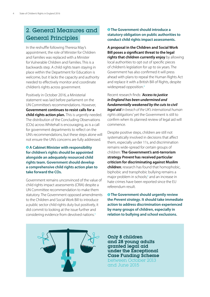## 2. General Measures and General Principles

In the reshuffle following Theresa May's appointment, the role of Minister for Children and Families was replaced with a Minister for Vulnerable Children and Families. This is a backwards step. A child rights team staying in place within the Department for Education is welcome, but it lacks the capacity and authority needed to effectively monitor and coordinate children's rights across government.

Positively in October 2016, a Ministerial statement was laid before parliament on the UN Committee's recommendations. However, **Government continues to resist calls for a child rights action plan.** This is urgently needed. The distribution of the Concluding Observations (COs) across Whitehall is encouraging, as is a call for government departments to reflect on the UN's recommendations, but these steps alone will not ensure the UN's concerns are fully addressed.

#### **A Cabinet Minister with responsibility for children's rights should be appointed alongside an adequately resourced child rights team. Government should develop a comprehensive child rights action plan to take forward the COs.**

Government remains unconvinced of the value of child rights impact assessments (CRIA) despite a UN Committee recommendation to make them statutory. The Government opposed amendments to the Children and Social Work Bill to introduce a public sector child rights duty but positively, it did commit to looking at the issue further and considering evidence from devolved nations.<sup>3</sup>

#### **The Government should introduce a statutory obligation on public authorities to conduct child rights impact assessments.**

**A proposal in the Children and Social Work Bill poses a significant threat to the legal rights that children currently enjoy** by allowing local authorities to opt out of specific pieces of children's legislation for up to six years. The Government has also confirmed it will press ahead with plans to repeal the Human Rights Act and replace it with a British Bill of Rights, despite widespread opposition.<sup>4</sup>

Recent research finds: *'Access to justice in England has been undermined and fundamentally weakened by the cuts to civil legal aid in breach of the UK's international human rights obligations'* yet the Government is still to confirm when its planned review of legal aid will commence.

Despite positive steps, children are still not systematically involved in decisions that affect them, especially under 11s, and discrimination remains wide-spread for certain groups of children: **The Government's anti-terrorism strategy** *Prevent* **has received particular criticism for discriminating against Muslim children**; research has found that homophobic, biphobic and transphobic bullying remains a major problem in schools;<sup>5</sup> and an increase in hate crimes have been reported since the EU referendum result.

 **The Government should urgently review the** *Prevent strategy***. It should take immediate action to address discrimination experienced by many groups of children, especially in relation to bullying and school exclusions.**



Only 8 children<br>
and 28 young adults granted legal aid under the Exceptional Case Funding Scheme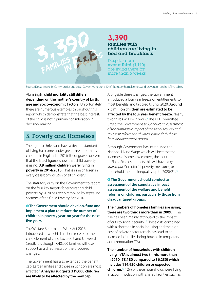

### 3,390 families with children are living in bed and breakfasts

Despite a ban, over  $\alpha$  third (1,140) are living there for more than 6 weeks

Source: Department for Communities and Local Government (June 2016) Statutory homelessness and prevention and relief live tables

Alarmingly, **child mortality still differs depending on the mother's country of birth, age and socio-economic factors.** Unfortunately, there are numerous examples throughout this report which demonstrate that the best interests of the child is not a primary consideration in decision-making.

## 3. Poverty and Homeless

The right to thrive and have a decent standard of living has come under great threat for many children in England in 2016. It's of grave concern that the latest figures show that child poverty is rising. **3.9 million children were living in poverty in 2014/2015.** That is nine children in every classroom, or 29% of all children.<sup>6</sup>

The statutory duty on the Government to report on the four key targets for eradicating child poverty by 2020 has been removed by repealing sections of the Child Poverty Act 2010.

#### **<sup><b>8</sup>** The Government should develop, fund and</sup> **implement a plan to reduce the number of children in poverty year-on-year for the next five years.**

The Welfare Reform and Work Act 2016 introduced a two child limit on receipt of the child element of child tax credit and Universal Credit. It is thought 640,000 families will lose support as a direct result of the proposed changes.<sup>7</sup>

The Government has also extended the benefit cap. Large families and those in London are most affected.<sup>8</sup> **Analysis suggests 319,000 children are likely to be affected by the new cap.** 

Alongside these changes, the Government introduced a four year freeze on entitlements to most benefits and tax credits until 2020. **Around 7.5 million children are estimated to be affected by the four year benefit freeze.** Nearly two thirds will be in work.<sup>9</sup>The UN Committee urged the Government to *'Conduct an assessment of the cumulative impact of the social security and tax credit reforms on children, particularly those from disadvantaged groups.'*

Although Government has introduced the National Living Wage which will increase the incomes of some low earners, the Institute of Fiscal Studies predicts this will have *'very little impact'* on official poverty measures, or household income inequality up to 2020/21.<sup>10</sup>

**<sup><b><sup>8</sup>** The Government should conduct an</sup> **assessment of the cumulative impact assessment of the welfare and benefit reforms on children, particularly those from disadvantaged groups.**

**The numbers of homeless families are rising; there are two thirds more than in 2009.**<sup>11</sup> The rise has been mainly attributed to the impact of cuts to social security.<sup>12</sup>These cuts combined with a shortage in social housing and the high cost of private sector rentals has lead to an increase in families being housed in temporary accommodation (TA).

**The number of households with children living in TA is almost two thirds more than in 2010 (58,180 compared to 36,230) which includes 114,930 children or expected children.**<sup>13</sup> 12% of these households were living in accommodation with shared facilities such as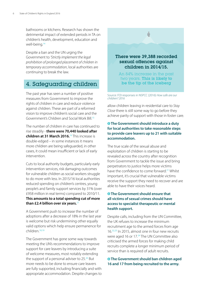bathrooms or kitchens. Research has shown the detrimental impact of extended periods in TA on children's health, development, education and well-being.<sup>14</sup>

Despite a ban and the UN urging the Government to *'Strictly implement the legal prohibition of prolonged placement of children in temporary accommodation*, local authorities are continuing to break the law.

## 4. Safeguarding children

The past year has seen a number of positive measures from Government to improve the rights of children in care and reduce violence against children. These are part of a reformed vision to improve children's social care and the Government's Children and Social Work Bill.<sup>15</sup>

The number of children in care has continued to rise steadily - **there were 70,440 looked after children at 31 March 2016.**<sup>16</sup> This increase is double-edged – in some instances it means more children are being safeguarded, in other cases, it could mean insufficient or lack of early intervention.

Cuts to local authority budgets, particularly early intervention services, risk damaging outcomes for vulnerable children as social workers struggle to do more with less. In 2015/16 local authorities reduced spending on children's centres, young people's and family support services by 31% (over £958 million in real terms) compared to 2010/11. **This amounts to a total spending cut of more than £2.4 billion over six years.**<sup>17</sup>

A Government push to increase the number of adoptions after a decrease of 18% in the last year is welcome but risk undermining other equally valid options which help ensure permanence for children<sup>18,19</sup>

The Government has gone some way towards meeting the UN's recommendations to improve support for care leavers by introducing a suite of welcome measures, most notably extending the support of a personal adviser to  $25.^{20}$  But more needs to be done to ensure care leavers are fully supported, including financially and with appropriate accommodation. Despite changes to



Source: FOI responses in NSPCC (2016) *How safe are our children? 2016*

allow children leaving in residential care to *Stay Close* there is still some way to go before they achieve parity of support with those in foster care.

#### **The Government should introduce a duty for local authorities to take reasonable steps to provide care leavers up to 21 with suitable accommodation.**

The true scale of the sexual abuse and exploitation of children is starting to be revealed across the country after recognition from Government to tackle the issue and bring perpetrators to justice helps more victims have the confidence to come forward.<sup>21</sup> Whilst important, it's crucial that vulnerable victims receive the support they need to recover and are able to have their voices heard.

#### **The Government should ensure that all victims of sexual crimes should have access to specialist therapeutic or mental health support.**

Despite calls, including from the UN Committee, the UK refuses to increase the minimum recruitment age to the armed forces from age 16.22,23 In 2015, almost one in four new recruits were aged 16 or 17.<sup>24</sup> The UN Committee also criticised the armed forces for making child recruits complete a longer minimum period of service than is required of adult recruits.

#### **The Government should ban children aged 16 and 17 from being recruited to the army.**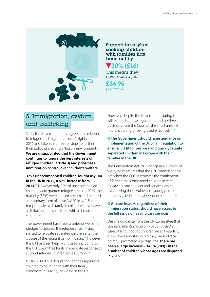

#### Support for asylum seeking children with families has been cut by

 30% (£16) This means they

now receive just

£36.95 per week

## 5. Immigration, asylum and trafficking

Sadly the Government has regressed in relation to refugee and migrant children's rights in 2016 and taken a number of steps to further their policy of creating a "hostile environment". **We are disappointed that the Government continues to ignore the best interests of refugee children (article 3) and prioritises immigration control over children's welfare.**

#### **3253 unaccompanied children sought asylum in the UK in 2015, a 67% increase from**

**2014**. <sup>25</sup> However only 22% of unaccompanied children were granted refugee status in 2015, the majority (52%) were refused asylum and granted a temporary form of leave (UASC leave). Such temporary leave is rarely in children's best interest as it does not provide them with a durable solution<sup>26</sup>

The Government has made a series of welcome pledges to address the refugee crisis $27,28$  and started to relocate separated children after the closure of the migrant camp in Calais.<sup>29</sup> However, the UK has been heavily criticised, including by the UN Committee for its inadequate response to support refugee children across Europe.<sup>30,31</sup>

EU law (Dublin III Regulation) entitles separated children to be reunited with their family elsewhere in Europe, including in the UK.

However, despite the Government stating it will adhere to these regulations and positive decisions from the Courts,<sup>32</sup> this mechanism is not functioning or being used effectively.<sup>33,34</sup>

#### **The Government should issue guidance on implementation of the Dublin III regulation to ensure it is fit for purpose and quickly reunite separated children in Europe with their families in the UK.**

The Immigration Act 2016 brings in a number of worrying measures that the UN Committee said breached the CRC. It removes the entitlement of former unaccompanied children in care to leaving care support and services which risks leaving these vulnerable young people homeless, destitute or at risk of exploitation.<sup>35</sup>

#### **All care leavers, regardless of their immigration status, should have access to the full range of leaving care services.**

Despite guidance from the UN Committee that *'age assessments should only be conducted in cases of serious doubt',* children are still regularly disbelieved about how old they are and face harmful, protracted age disputes. **There has been a large increase – 148% (789) - in the number of children whose ages are disputed in 2015.**<sup>36</sup>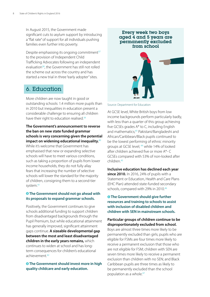In August 2015, the Government made significant cuts to asylum support by introducing a "flat rate" of support for all individuals pushing families even further into poverty.

Despite emphasising its ongoing commitment<sup>37</sup> to the provision of Independent Child Trafficking Advocates following an independent evaluation<sup>38</sup>, the Government has still not rolled the scheme out across the country and has started a new trial in three "early adopter" sites.

## 6. Education

More children are now taught in good or outstanding schools: 1.4 million more pupils than in 2010 but inequalities in education present a considerable challenge to ensuring all children have their right to education realised.<sup>39</sup>

**The Government's announcement to reverse the ban on new state funded grammar schools is very concerning given the potential impact on widening educational inequality.**<sup>40</sup> While it's welcome that Government has emphasised that new or expanding selective schools will have to meet various conditions, such as taking a proportion of pupils from lower income households, they do not fully allay fears that increasing the number of selective schools will lower the standard for the majority of children, consigning them to a second-tier system.<sup>41</sup>

#### **The Government should not go ahead with its proposals to expand grammar schools.**

Positively, the Government continues to give schools additional funding to support children from disadvantaged backgrounds through the Pupil Premium, but while educational attainment has generally improved, significant attainment gaps continue. **A sizeable developmental gap between the most and least disadvantaged children in the early years remains,** which continues to widen at school and has longterm consequences for children's educational achievement.<sup>42</sup>

#### **The Government should invest more in high quality childcare and early education.**



Source: Department for Education

At GCSE level, White British boys from low income backgrounds perform particularly badly, with less than a quarter of this group achieving five GCSEs grades A\* to C, including English and mathematics;<sup>43</sup> Pakistani/Bangladeshi and African/Caribbean/Black pupils continued to be the lowest performing of ethnic minority groups at GCSE level; <sup>44</sup> while 14% of looked after children achieved five or more A\*- C GCSEs compared with 53% of non-looked after children.<sup>45</sup>

**Inclusive education has declined each year since 2010.** In 2016, 24% of pupils with a Statement or Education, Health and Care Plans (EHC Plan) attended state-funded secondary schools, compared with 29% in 2010.<sup>46</sup>

#### **The Government should give further resources and training to schools to assist with inclusion of disabled children and children with SEN in mainstream schools.**

**Particular groups of children continue to be disproportionately excluded from school.**  Boys are almost three times more likely to be permanently excluded than girls; pupils who are eligible for FSMs are four times more likely to receive a permanent exclusion that those who are not eligible for FSM; children with SEN are seven times more likely to receive a permanent exclusion than children with no SEN; and Black Caribbean pupils are three times as likely to

be permanently excluded than the school population as a whole.<sup>47</sup>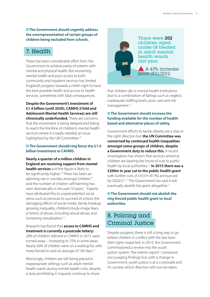**The Government should urgently address the overrepresentation of certain groups of children being excluded from schools.**

## 7. Health

There has been considerable effort from the Government to achieve parity of esteem with mental and physical health. But worsening mental health and poor access to both community and inpatient services has limited England's progress towards a child's right to have the best possible health and access to health services, sometimes with fatal consequences.

**Despite the Government's investment of £1.4 billion (until 2020), CAMHS (Child and Adolescent Mental Health Services) are still chronically underfunded.** There are concerns that the investment is being delayed and failing to reach the frontline of children's mental health services where it is badly needed, an issue highlighted by the UN Committee.<sup>48</sup>

#### **The Government should ring fence the £1.4 billion investment to CAHMS.**

**Nearly a quarter of a million children in England are receiving support from mental health services** and the figure is likely to be significantly higher.<sup>49</sup> There has been an alarming rise in suicides amongst children<sup>50</sup> and the number of children self-harming has risen dramatically in the past 10 years.<sup>51</sup> Experts have attributed this to unprecedented social stress such as pressure to succeed at school, the damaging effects of social media, family breakup, growing inequality, children's body-image fears, a history of abuse, including sexual abuse, and increasing sexualisation.<sup>52</sup>

Research has found that **access to CAMHS and treatment is currently a postcode lottery:** 28% of children referred to CAMHS in 2015 were turned away – increasing to 75% in some areas. Nearly 60% of children were on a waiting list, with many forced to wait an average of 100 days.<sup>53</sup>

Worryingly, children are still being placed in inappropriate settings such as adult mental health wards during mental health crisis, despite a duty prohibiting it. Inquests continue to show



 last year There were 202 children aged under-18 treated in adult mental health wards

 A 43% increase since 2011/2012

that children die in mental health institutions due to a combination of failings such as neglect, inadequate staffing levels, poor care and risk management.<sup>54</sup>

#### **The Government should increase the funding available for the number of healthbased and alternative places of safety.**

Government efforts to tackle obesity are a step in the right direction but **the UN Committee was concerned by continued health inequalities amongst some groups of children, despite a Government duty to reduce this.** A recent investigation has shown that services aimed at children are bearing the brunt of cuts to public health by local authorities.<sup>55</sup> **In 2015 there was a £200m in year cut to the public health grant**  with further cuts of £331m (9.7%) announced by 2020/21.<sup>56</sup> The Government has said it will eventually abolish the grant altogether.<sup>57</sup>

#### **<sup>** $\bullet$ **</sup> The Government should not abolish the ring fenced public health grant to local authorities**

## 8. Policing and Criminal Justice

Despite progress, there is still a long way to go before children in conflict with the law have their rights respected. In 2015, the Government commissioned a review into the youth justice system. The interim report<sup>58</sup> contained encouraging findings but, with a change in Government, youth justice is at a crossroads and it's unclear which direction will now be taken.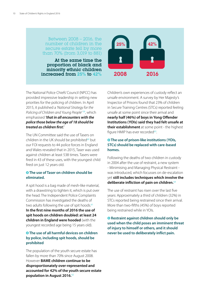#### Between 2008 – 2016, the number of children in the secure estate fell by more than 70% (from 3,019 to 881)

At the same time the proportion of black and minority ethnic children increased from 25% to 42%



The National Police Chiefs' Council (NPCC) has provided impressive leadership in setting new priorities for the policing of children. In April 2015, it published a *'National Strategy for the Policing of Children and Young People'* <sup>59</sup>, which emphasised *'that in all encounters with the police those below the age of 18 should be treated as children first.'*

The UN Committee said the use of Tasers on children in the UK should be prohibited $60$  but our FOI requests to 44 police forces in England and Wales revealed that in 2015, Taser was used against children at least 538 times. Tasers were fired in 43 of these uses, with the youngest child fired on just 12 years old.

#### **The use of Taser on children should be eliminated.**

A spit hood is a bag made of mesh-like material, with a drawstring to tighten it, which is put over the head. The Independent Police Complaints Commission has investigated the deaths of two adults following the use of spit hoods.<sup>61</sup> **In the first nine months of 2016 the use of spit hoods on children doubled: at least 24 children in England were hooded** (with the youngest recorded age being 15 years old).

#### **The use of all harmful devices on children by police, including spit hoods, should be prohibited**

The population of the youth secure estate has fallen by more than 70% since August 2008. However **BAME children continue to be disproportionately over-represented and accounted for 42% of the youth secure estate population in August 2016.**<sup>62</sup>

Children's own experiences of custody reflect an unsafe environment. A survey by Her Majesty's Inspector of Prisons found that 23% of children in Secure Training Centres (STCs) reported feeling unsafe at some point since their arrival and **nearly half (46%) of boys in Yong Offender Institutions (YOIs) said they had felt unsafe at their establishment** at some point - the highest figure HMIP has ever recorded<sup>63</sup>.

#### **<sup><b><sup>8</sup>** The use of prison-like institutions (YOIs,</sup> **STCs) should be replaced with care-based homes.**

Following the deaths of two children in custody in 2004 after the use of restraint, a new system - Minimising and Managing Physical Restraint was introduced, which focusses on de-escalation yet **still includes techniques which involve the deliberate infliction of pain on children.**<sup>64</sup>

The use of restraint has risen over the last five years: Approximately a third of children (32%) in STCs reported being restrained since their arrival. More than two-fifths (45%) of boys reported being restrained while in YOIs.

 **Restraint against children should only be used when the child poses an imminent threat of injury to himself or others, and it should never be used to deliberately inflict pain.**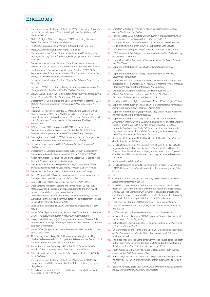## **Endnotes**

- 1. UN Committee on the Rights of the Child (2016) *Concluding observations on the fifth periodic report of the United Kingdom of Great Britain and Northern Ireland*
- 2. Children's Rights Alliance for England (2015) *Civil Society Alternative Report 2015 to the UN Committee - England*
- 3. HL Deb: Children and Social Work Bill (8 November 2016) C1090
- 4. <https://www.bihr.org.uk/human-rights-act-pledge>
- 5. National Institute of Economic and Social Research (2016) *Inequality among lesbian, gay bisexual and transgender groups in the UK: a review of evidence*
- 6. Department for Work and Pensions (June 2016) *Households below average income: an analysis of the income distribution 1994/95 to 2014/15*
- 7. HM Treasury and Department for Work and Pensions (2015) *Welfare Reform and Work Bill: Impact Assessment of Tax Credits and Universal Credit, changes to Child Element and Family Element*
- 8. Department for Work and Pensions (August 2016) *Benefit Cap. Data to May 2016*
- 9. Royston, S. (2016) The Future of Family Incomes: *How key tax and welfare changes will affect families to 2020 The Children's Society*
- 10. Browne, J. and Hood, A. (2016) *Living Standards, Poverty and Inequality in the UK: 2015-16 to 2020-21 Institute for Fiscal Studies*
- 11. Department for Communities and Local Government (September 2016) *Statutory homelessness and prevention and relief live tables: Table 773 England*
- 12. Fitzpatrick, S., Pawson, H., Bramley, G., Wilcox, S., and Watts, B. (2016) *Homeless Monitor 2016* Heriot-Watt University, University of York, University of New South Wales; House of Commons Communities and Local Government Committee (2016) *Homelessness. Third Report of Session 2016–17*
- 13. Q2 End of June 2016 compared to Q2 2010 Department for Communities and Local Government (September 2016) *Statutory homelessness and prevention and relief live tables: Table 775 England*
- 14. Pennington, J. and Garvie. D (2016) *Desperate to Escape the experiences of homeless families in emergency accommodation Shelter*
- 15. Department for Education (2016) *Putting children first: our vision for children's social care*
- 16. Department for Education (September 2016) *Children looked after in England (including adoption) year ending 31 March 2016 SFR 41/2016*
- 17. Action for Children, NCB and The Children's Society (2016) *Losing in the long run: Trends in Early Intervention Funding*
- 18. Department for Education (September 2016) *Children looked after in England (including adoption) year ending 31 March 2016 SFR 41/2016*
- 19. Department for Education (2016) *Adoption: A Vision for Change*
- 20. Cross Whitehall (2016) *Keep on caring: supporting young people from care to independence and Children and Social Work Bill*
- 21. Bentley, H. et al. (2016) *How safe are our children? 2016* NSPCC
- 22. Open Letter to Minister of State to the Armed Forces 23 May 2013. [https://www.child-soldiers.org/shop/open-letter-to-the-ministry-of](https://www.child-soldiers.org/shop/open-letter-to-the-ministry-of-defence-from-childrens-rights-org)[defence-from-childrens-rights-organisations-1](https://www.child-soldiers.org/shop/open-letter-to-the-ministry-of-defence-from-childrens-rights-org)
- 23. Commissioners for Children and Young People for England, Scotland, Wales and Northern Ireland communicated in a joint statement to child Soldiers International 28 January 2015
- 24. Child Soldiers International (2016) *Child Soldiers at 16: Sifting fact from fiction*
- 25. Home Office (April to June 2016) Asylum Data Tables based on Refugee Council (August 2016) *Children in the asylum system statistics*
- 26. Gregg, L. and Williams, N. (2015) *Not just a temporary fix: The search for durable solutions for separated migrant children* The Children's Society and European Commission
- 27. Home Office (21 April 2016) 'New scheme launched to resettle children at risk' News Story
- 28. 10 Downing Street (4 May 2016) 'Unaccompanied asylum-seeking children to be resettled from Europe' Press Release – under Section 67 of the Immigration Act 2016 ("Dubs amendment")
- 29. Amber Rudd, Home Secretary (24 October 2016) *Statement on the transfer of unaccompanied minors from Calais camp HC WS55*
- 30. '"Robust plans" called for to resettle Calais migrant children' (13 October 2016) *BBC News*
- 31. UN Committee on the Rights of the Child (2 November 2016) 'Calais camp: French and UK Governments fell well short of their child rights obligations'
- 32. AT and another (Article 8 ECHR Child Refugee Family Reunification: Eritrea) [2016] UKUT 227 (IAC)
- 33. Unicef UK (2016) *Family reunion in the UK for children across Europe: Making Dublin work for children*
- 34. House of Lords EU Committee (2016) *Children in crisis: unaccompanied migrant children in the EU 2nd Report of Session 2016–17*
- 35. Refugee Children's Consortium (March 2016) 'House of Lords Report Stage Briefing: Immigration Bill 2016 - Support for Care Leavers'
- 36. Refugee Council (August 2016) *Children in the asylum system statistics*
- 37. HM Government (2015) *Report on the trial of independent child trafficking advocates and next steps*
- 38. Home Office (2015) *Evaluation of Independent Child Trafficking Advocates trial: Final Report*
- 39. Department for Education (March 2016) *Educational Excellence Everywhere*
- 40. Department for Education (2016) *Schools that work for everyone. Government consultation*
- 41. National Union of Teachers (6 September 2016) 'Grammar Schools' Press release; Helm, T. (15 October 2016) *'I came into teaching to raise standards'*  – Michael Wilshaw's forthright farewell' *The Guardian*
- 42. Evidence to CRAE from Family and Child Care Trust July 2016
- 43. Ofsted (2015) *The Annual Report of Her Majesty's Chief Inspector of Education, Children's Services and Skills 2014/15*
- 44. Equality and Human Rights Commission (March 2016) *Is England Fairer?*
- 45. Department for Education (24 March 2016) *Outcomes for children looked after by local authorities in England, 31 March 2015*
- 46. Department for Education, (September 2016) *Special educational needs: an analysis and summary of data sources*
- 47. Department for Education (July 2016) *Permanent and Fixed Period Exclusions in England: 2014 to 2015*; Children's Rights Alliance for England, Together and the Wales UNCRC Monitoring Group (2016) *GB Civil Society Briefing in response to the UK List of Issues Response* Communities Empowerment Network (March 2015), *Mapping the Exclusion Process: Inequality, Justice and the Business of Education*
- 48. Buchanan, M. (8 March 2016) 'NHS child mental health money 'missing' despite investment' *BBC News*
- 49. NHS Digital provided for *The Guardian (*End of June 2016 NHS Digital began collating the figures in January) in Campbell, D. and Marsh, S. 'Quarter of a million children receiving mental health care in England' (3 October 2016) *The Guardian* Figures could only be provided by 60% of NHS Trusts.
- 50. Add source from GMI briefing
- 51. NHS Digital Figures obtained by *The Guardian* Campbell, D. (23 October 2016) 'NHS figures show 'shocking' rise in self-harm among young' *The Guardian*
- 52. Ibid.
- 53. Children's Commissioner (2016) *Lightning Review: Access to Child and Adolescent Mental Health Services*
- 54. INQUEST (2 June 2016) 'Jury finds Priory's gross failings contributed to death of 14 year Amy El Keria in child mental health unit' Press Release and INQUEST (21 September 2016) 'Coroner concludes gross failings constituting neglect contributed to the death of 15 year old Christopher Brennan in Bethlem Hospital Adolescent Unit' Press Release
- 55. Health Services Journal (2016) *Health Services Journal Investigation*
- 56. Local Government Association (2016) *Public health funding in 2016/17 and 2017/18*
- 57. HM Treasury (2015) *Spending Review and Autumn Statement 2015*
- 58. Ministry of Justice (February 2016) *Review of the Youth Justice System: An interim report of emerging findings.*
- 59. National Police Chiefs Council (2015) *National Strategy for the Policing of Children and Young People*
- 60. UN Committee on the Rights of the Child (2016) *Concluding observations on the fifth periodic report of the United Ki*ngdom of Great Britain and Northern Ireland
- 61. The Independent Police Complaints Commission investigated the death of Jonathan Pluck (in Cambridgeshire in 2009) and is still investigating the death of Terry Smith (in Surrey in November 2013).
- 62. Youth Justice Board/Ministry of Justice (2016) *Monthly youth custody report October 2016: England and Wales.*
- 63. Her Majesty's Inspectorate of Prisons (2016) *Children in custody 2015-16: an analysis of 12-18 year olds' perceptions of their experiences in STCs and YOIs*
- 64. Restraint Advisory Board (2011) *Assessment of Minimising and Managing Physical Restraint for children in the secure estate*